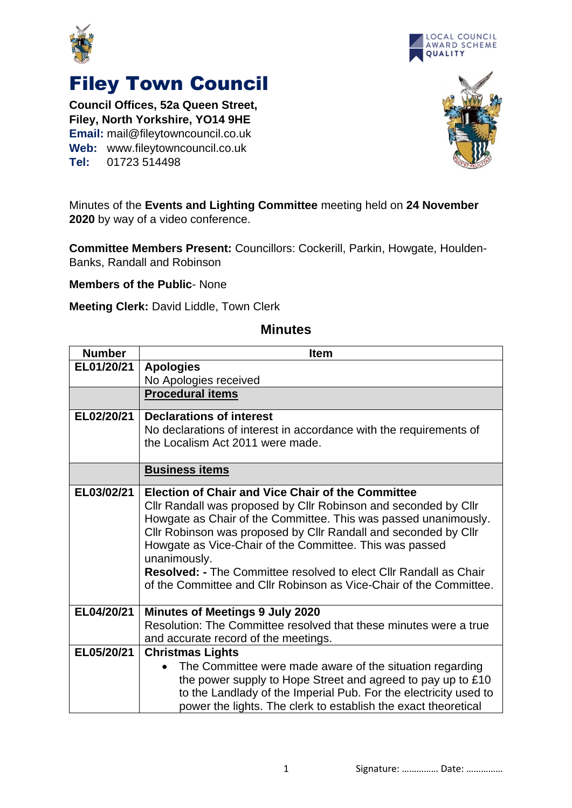



## Filey Town Council

**Council Offices, 52a Queen Street, Filey, North Yorkshire, YO14 9HE Email:** mail@fileytowncouncil.co.uk **Web:** www.fileytowncouncil.co.uk **Tel:** 01723 514498



Minutes of the **Events and Lighting Committee** meeting held on **24 November 2020** by way of a video conference.

**Committee Members Present:** Councillors: Cockerill, Parkin, Howgate, Houlden-Banks, Randall and Robinson

**Members of the Public**- None

**Meeting Clerk:** David Liddle, Town Clerk

## **Minutes**

| <b>Number</b> | <b>Item</b>                                                                                                                                    |  |
|---------------|------------------------------------------------------------------------------------------------------------------------------------------------|--|
| EL01/20/21    | <b>Apologies</b>                                                                                                                               |  |
|               | No Apologies received                                                                                                                          |  |
|               | <b>Procedural items</b>                                                                                                                        |  |
| EL02/20/21    | <b>Declarations of interest</b>                                                                                                                |  |
|               | No declarations of interest in accordance with the requirements of                                                                             |  |
|               | the Localism Act 2011 were made.                                                                                                               |  |
|               | <b>Business items</b>                                                                                                                          |  |
| EL03/02/21    | <b>Election of Chair and Vice Chair of the Committee</b>                                                                                       |  |
|               | Cllr Randall was proposed by Cllr Robinson and seconded by Cllr                                                                                |  |
|               | Howgate as Chair of the Committee. This was passed unanimously.                                                                                |  |
|               | Cllr Robinson was proposed by Cllr Randall and seconded by Cllr                                                                                |  |
|               | Howgate as Vice-Chair of the Committee. This was passed                                                                                        |  |
|               | unanimously.                                                                                                                                   |  |
|               | <b>Resolved: - The Committee resolved to elect Cllr Randall as Chair</b><br>of the Committee and Cllr Robinson as Vice-Chair of the Committee. |  |
|               |                                                                                                                                                |  |
| EL04/20/21    | <b>Minutes of Meetings 9 July 2020</b>                                                                                                         |  |
|               | Resolution: The Committee resolved that these minutes were a true                                                                              |  |
|               | and accurate record of the meetings.                                                                                                           |  |
| EL05/20/21    | <b>Christmas Lights</b>                                                                                                                        |  |
|               | The Committee were made aware of the situation regarding<br>$\bullet$                                                                          |  |
|               | the power supply to Hope Street and agreed to pay up to £10                                                                                    |  |
|               | to the Landlady of the Imperial Pub. For the electricity used to                                                                               |  |
|               | power the lights. The clerk to establish the exact theoretical                                                                                 |  |